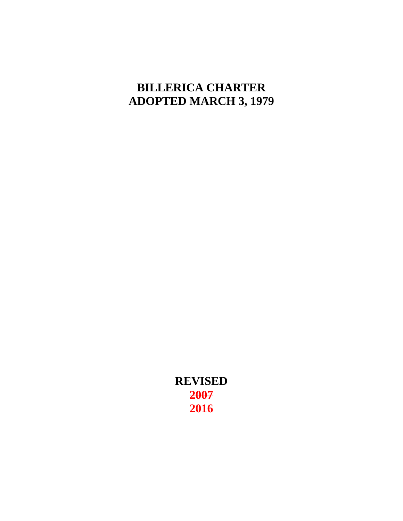# **BILLERICA CHARTER ADOPTED MARCH 3, 1979**

**REVISED 2007 2016**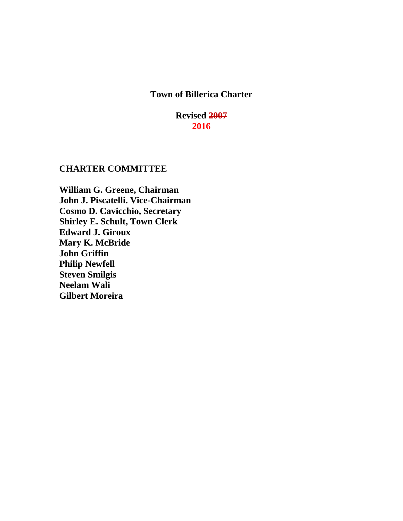# **Town of Billerica Charter**

# **Revised 2007 2016**

# **CHARTER COMMITTEE**

**William G. Greene, Chairman John J. Piscatelli. Vice-Chairman Cosmo D. Cavicchio, Secretary Shirley E. Schult, Town Clerk Edward J. Giroux Mary K. McBride John Griffin Philip Newfell Steven Smilgis Neelam Wali Gilbert Moreira**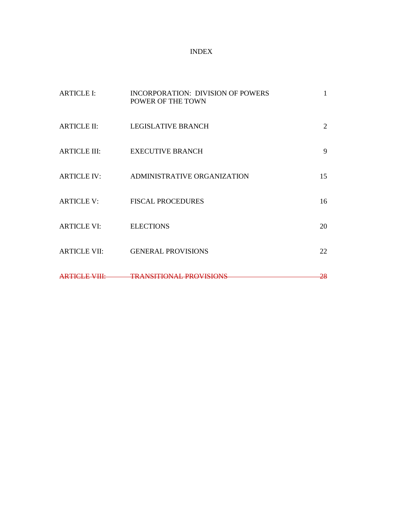# INDEX

| <b>ARTICLE I:</b>   | <b>INCORPORATION: DIVISION OF POWERS</b><br>POWER OF THE TOWN | 1              |
|---------------------|---------------------------------------------------------------|----------------|
| <b>ARTICLE II:</b>  | <b>LEGISLATIVE BRANCH</b>                                     | $\overline{2}$ |
|                     | ARTICLE III: EXECUTIVE BRANCH                                 | 9              |
|                     | ARTICLE IV: ADMINISTRATIVE ORGANIZATION                       | 15             |
| ARTICLE V:          | <b>FISCAL PROCEDURES</b>                                      | 16             |
| <b>ARTICLE VI:</b>  | <b>ELECTIONS</b>                                              | 20             |
| <b>ARTICLE VII:</b> | <b>GENERAL PROVISIONS</b>                                     | 22             |
|                     | ARTICLE VIII: TRANSITIONAL PROVISIONS                         | <del>28</del>  |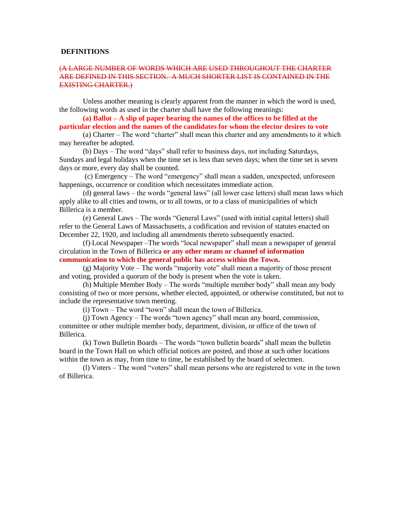#### **DEFINITIONS**

# (A LARGE NUMBER OF WORDS WHICH ARE USED THROUGHOUT THE CHARTER ARE DEFINED IN THIS SECTION. A MUCH SHORTER LIST IS CONTAINED IN THE EXISTING CHARTER.)

Unless another meaning is clearly apparent from the manner in which the word is used, the following words as used in the charter shall have the following meanings:

**(a) Ballot – A slip of paper bearing the names of the offices to be filled at the particular election and the names of the candidates for whom the elector desires to vote**

(a) Charter – The word "charter" shall mean this charter and any amendments to it which may hereafter be adopted.

(b) Days – The word "days" shall refer to business days, not including Saturdays, Sundays and legal holidays when the time set is less than seven days; when the time set is seven days or more, every day shall be counted.

(c) Emergency – The word "emergency" shall mean a sudden, unexpected, unforeseen happenings, occurrence or condition which necessitates immediate action.

(d) general laws – the words "general laws" (all lower case letters) shall mean laws which apply alike to all cities and towns, or to all towns, or to a class of municipalities of which Billerica is a member.

(e) General Laws – The words "General Laws" (used with initial capital letters) shall refer to the General Laws of Massachusetts, a codification and revision of statutes enacted on December 22, 1920, and including all amendments thereto subsequently enacted.

(f) Local Newspaper –The words "local newspaper" shall mean a newspaper of general circulation in the Town of Billerica **or any other means or channel of information communication to which the general public has access within the Town.**

(g) Majority Vote – The words "majority vote" shall mean a majority of those present and voting, provided a quorum of the body is present when the vote is taken.

(h) Multiple Member Body – The words "multiple member body" shall mean any body consisting of two or more persons, whether elected, appointed, or otherwise constituted, but not to include the representative town meeting.

(i) Town – The word "town" shall mean the town of Billerica.

(j) Town Agency – The words "town agency" shall mean any board, commission, committee or other multiple member body, department, division, or office of the town of Billerica.

(k) Town Bulletin Boards – The words "town bulletin boards" shall mean the bulletin board in the Town Hall on which official notices are posted, and those at such other locations within the town as may, from time to time, be established by the board of selectmen.

(l) Voters – The word "voters" shall mean persons who are registered to vote in the town of Billerica.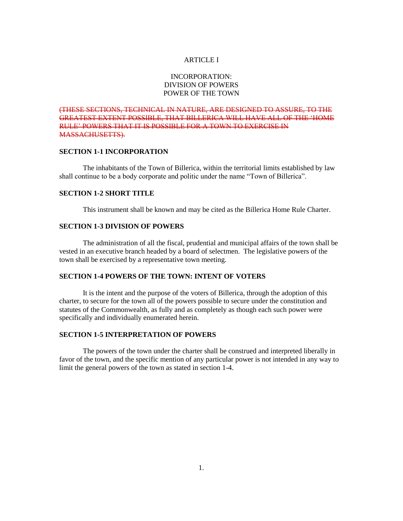# ARTICLE I

# INCORPORATION: DIVISION OF POWERS POWER OF THE TOWN

(THESE SECTIONS, TECHNICAL IN NATURE, ARE DESIGNED TO ASSURE, TO THE GREATEST EXTENT POSSIBLE, THAT BILLERICA WILL HAVE ALL OF THE 'HOME RULE' POWERS THAT IT IS POSSIBLE FOR A TOWN TO EXERCISE IN MASSACHUSETTS).

# **SECTION 1-1 INCORPORATION**

The inhabitants of the Town of Billerica, within the territorial limits established by law shall continue to be a body corporate and politic under the name "Town of Billerica".

#### **SECTION 1-2 SHORT TITLE**

This instrument shall be known and may be cited as the Billerica Home Rule Charter.

# **SECTION 1-3 DIVISION OF POWERS**

The administration of all the fiscal, prudential and municipal affairs of the town shall be vested in an executive branch headed by a board of selectmen. The legislative powers of the town shall be exercised by a representative town meeting.

# **SECTION 1-4 POWERS OF THE TOWN: INTENT OF VOTERS**

It is the intent and the purpose of the voters of Billerica, through the adoption of this charter, to secure for the town all of the powers possible to secure under the constitution and statutes of the Commonwealth, as fully and as completely as though each such power were specifically and individually enumerated herein.

# **SECTION 1-5 INTERPRETATION OF POWERS**

The powers of the town under the charter shall be construed and interpreted liberally in favor of the town, and the specific mention of any particular power is not intended in any way to limit the general powers of the town as stated in section 1-4.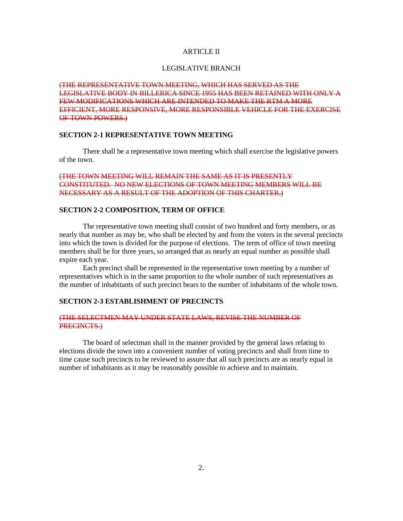# ARTICLE II

#### LEGISLATIVE BRANCH

(THE REPRESENTATIVE TOWN MEETING, WHICH HAS SERVED AS THE LEGISLATIVE BODY IN BILLERICA SINCE 1955 HAS BEEN RETAINED WITH ONLY A FEW MODIFICATIONS WHICH ARE INTENDED TO MAKE THE RTM A MORE EFFICIENT, MORE RESPONSIVE, MORE RESPONSIBLE VEHICLE FOR THE EXERCISE OF TOWN POWERS.)

# **SECTION 2-1 REPRESENTATIVE TOWN MEETING**

There shall be a representative town meeting which shall exercise the legislative powers of the town.

# (THE TOWN MEETING WILL REMAIN THE SAME AS IT IS PRESENTLY CONSTITUTED. NO NEW ELECTIONS OF TOWN MEETING MEMBERS WILL BE NECESSARY AS A RESULT OF THE ADOPTION OF THIS CHARTER.)

# **SECTION 2-2 COMPOSITION, TERM OF OFFICE**

The representative town meeting shall consist of two hundred and forty members, or as nearly that number as may be, who shall be elected by and from the voters in the several precincts into which the town is divided for the purpose of elections. The term of office of town meeting members shall be for three years, so arranged that as nearly an equal number as possible shall expire each year.

Each precinct shall be represented in the representative town meeting by a number of representatives which is in the same proportion to the whole number of such representatives as the number of inhabitants of such precinct bears to the number of inhabitants of the whole town.

# **SECTION 2-3 ESTABLISHMENT OF PRECINCTS**

#### (THE SELECTMEN MAY UNDER STATE LAWS, REVISE THE NUMBER OF PRECINCTS.)

The board of selectman shall in the manner provided by the general laws relating to elections divide the town into a convenient number of voting precincts and shall from time to time cause such precincts to be reviewed to assure that all such precincts are as nearly equal in number of inhabitants as it may be reasonably possible to achieve and to maintain.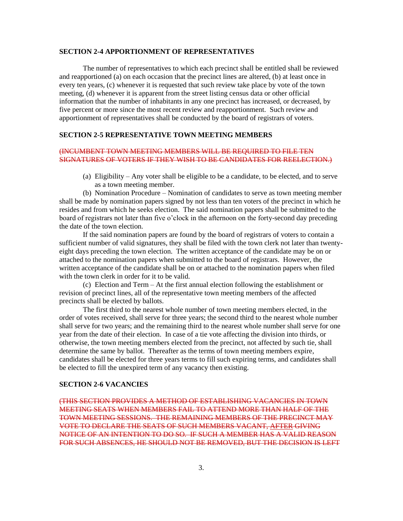#### **SECTION 2-4 APPORTIONMENT OF REPRESENTATIVES**

The number of representatives to which each precinct shall be entitled shall be reviewed and reapportioned (a) on each occasion that the precinct lines are altered, (b) at least once in every ten years, (c) whenever it is requested that such review take place by vote of the town meeting, (d) whenever it is apparent from the street listing census data or other official information that the number of inhabitants in any one precinct has increased, or decreased, by five percent or more since the most recent review and reapportionment. Such review and apportionment of representatives shall be conducted by the board of registrars of voters.

# **SECTION 2-5 REPRESENTATIVE TOWN MEETING MEMBERS**

# (INCUMBENT TOWN MEETING MEMBERS WILL BE REQUIRED TO FILE TEN SIGNATURES OF VOTERS IF THEY WISH TO BE CANDIDATES FOR REELECTION.)

(a) Eligibility – Any voter shall be eligible to be a candidate, to be elected, and to serve as a town meeting member.

(b) Nomination Procedure – Nomination of candidates to serve as town meeting member shall be made by nomination papers signed by not less than ten voters of the precinct in which he resides and from which he seeks election. The said nomination papers shall be submitted to the board of registrars not later than five o'clock in the afternoon on the forty-second day preceding the date of the town election.

If the said nomination papers are found by the board of registrars of voters to contain a sufficient number of valid signatures, they shall be filed with the town clerk not later than twentyeight days preceding the town election. The written acceptance of the candidate may be on or attached to the nomination papers when submitted to the board of registrars. However, the written acceptance of the candidate shall be on or attached to the nomination papers when filed with the town clerk in order for it to be valid.

(c) Election and Term – At the first annual election following the establishment or revision of precinct lines, all of the representative town meeting members of the affected precincts shall be elected by ballots.

The first third to the nearest whole number of town meeting members elected, in the order of votes received, shall serve for three years; the second third to the nearest whole number shall serve for two years; and the remaining third to the nearest whole number shall serve for one year from the date of their election. In case of a tie vote affecting the division into thirds, or otherwise, the town meeting members elected from the precinct, not affected by such tie, shall determine the same by ballot. Thereafter as the terms of town meeting members expire, candidates shall be elected for three years terms to fill such expiring terms, and candidates shall be elected to fill the unexpired term of any vacancy then existing.

# **SECTION 2-6 VACANCIES**

(THIS SECTION PROVIDES A METHOD OF ESTABLISHING VACANCIES IN TOWN MEETING SEATS WHEN MEMBERS FAIL TO ATTEND MORE THAN HALF OF THE TOWN MEETING SESSIONS. THE REMAINING MEMBERS OF THE PRECINCT MAY VOTE TO DECLARE THE SEATS OF SUCH MEMBERS VACANT, AFTER GIVING NOTICE OF AN INTENTION TO DO SO. IF SUCH A MEMBER HAS A VALID REASON FOR SUCH ABSENCES, HE SHOULD NOT BE REMOVED, BUT THE DECISION IS LEFT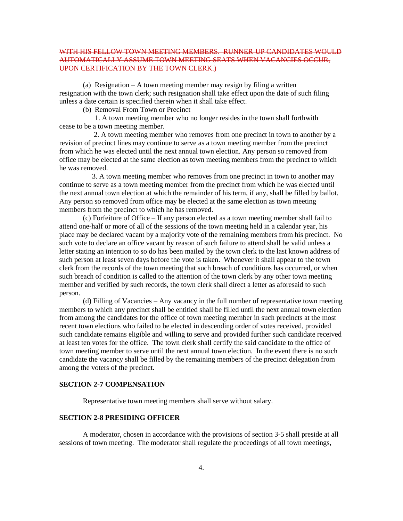# WITH HIS FELLOW TOWN MEETING MEMBERS. RUNNER-UP CANDIDATES WOULD AUTOMATICALLY ASSUME TOWN MEETING SEATS WHEN VACANCIES OCCUR, UPON CERTIFICATION BY THE TOWN CLERK.)

(a) Resignation – A town meeting member may resign by filing a written resignation with the town clerk; such resignation shall take effect upon the date of such filing unless a date certain is specified therein when it shall take effect.

(b) Removal From Town or Precinct

1. A town meeting member who no longer resides in the town shall forthwith cease to be a town meeting member.

 2. A town meeting member who removes from one precinct in town to another by a revision of precinct lines may continue to serve as a town meeting member from the precinct from which he was elected until the next annual town election. Any person so removed from office may be elected at the same election as town meeting members from the precinct to which he was removed.

 3. A town meeting member who removes from one precinct in town to another may continue to serve as a town meeting member from the precinct from which he was elected until the next annual town election at which the remainder of his term, if any, shall be filled by ballot. Any person so removed from office may be elected at the same election as town meeting members from the precinct to which he has removed.

(c) Forfeiture of Office – If any person elected as a town meeting member shall fail to attend one-half or more of all of the sessions of the town meeting held in a calendar year, his place may be declared vacant by a majority vote of the remaining members from his precinct. No such vote to declare an office vacant by reason of such failure to attend shall be valid unless a letter stating an intention to so do has been mailed by the town clerk to the last known address of such person at least seven days before the vote is taken. Whenever it shall appear to the town clerk from the records of the town meeting that such breach of conditions has occurred, or when such breach of condition is called to the attention of the town clerk by any other town meeting member and verified by such records, the town clerk shall direct a letter as aforesaid to such person.

(d) Filling of Vacancies – Any vacancy in the full number of representative town meeting members to which any precinct shall be entitled shall be filled until the next annual town election from among the candidates for the office of town meeting member in such precincts at the most recent town elections who failed to be elected in descending order of votes received, provided such candidate remains eligible and willing to serve and provided further such candidate received at least ten votes for the office. The town clerk shall certify the said candidate to the office of town meeting member to serve until the next annual town election. In the event there is no such candidate the vacancy shall be filled by the remaining members of the precinct delegation from among the voters of the precinct.

#### **SECTION 2-7 COMPENSATION**

Representative town meeting members shall serve without salary.

# **SECTION 2-8 PRESIDING OFFICER**

A moderator, chosen in accordance with the provisions of section 3-5 shall preside at all sessions of town meeting. The moderator shall regulate the proceedings of all town meetings,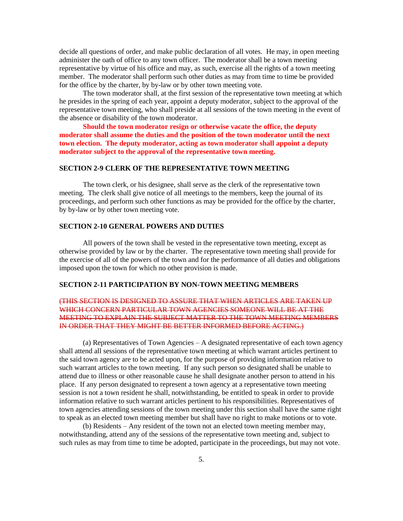decide all questions of order, and make public declaration of all votes. He may, in open meeting administer the oath of office to any town officer. The moderator shall be a town meeting representative by virtue of his office and may, as such, exercise all the rights of a town meeting member. The moderator shall perform such other duties as may from time to time be provided for the office by the charter, by by-law or by other town meeting vote.

The town moderator shall, at the first session of the representative town meeting at which he presides in the spring of each year, appoint a deputy moderator, subject to the approval of the representative town meeting, who shall preside at all sessions of the town meeting in the event of the absence or disability of the town moderator.

**Should the town moderator resign or otherwise vacate the office, the deputy moderator shall assume the duties and the position of the town moderator until the next town election. The deputy moderator, acting as town moderator shall appoint a deputy moderator subject to the approval of the representative town meeting.**

# **SECTION 2-9 CLERK OF THE REPRESENTATIVE TOWN MEETING**

The town clerk, or his designee, shall serve as the clerk of the representative town meeting. The clerk shall give notice of all meetings to the members, keep the journal of its proceedings, and perform such other functions as may be provided for the office by the charter, by by-law or by other town meeting vote.

# **SECTION 2-10 GENERAL POWERS AND DUTIES**

All powers of the town shall be vested in the representative town meeting, except as otherwise provided by law or by the charter. The representative town meeting shall provide for the exercise of all of the powers of the town and for the performance of all duties and obligations imposed upon the town for which no other provision is made.

#### **SECTION 2-11 PARTICIPATION BY NON-TOWN MEETING MEMBERS**

# (THIS SECTION IS DESIGNED TO ASSURE THAT WHEN ARTICLES ARE TAKEN UP WHICH CONCERN PARTICULAR TOWN AGENCIES SOMEONE WILL BE AT THE MEETING TO EXPLAIN THE SUBJECT MATTER TO THE TOWN MEETING MEMBERS IN ORDER THAT THEY MIGHT BE BETTER INFORMED BEFORE ACTING.)

(a) Representatives of Town Agencies – A designated representative of each town agency shall attend all sessions of the representative town meeting at which warrant articles pertinent to the said town agency are to be acted upon, for the purpose of providing information relative to such warrant articles to the town meeting. If any such person so designated shall be unable to attend due to illness or other reasonable cause he shall designate another person to attend in his place. If any person designated to represent a town agency at a representative town meeting session is not a town resident he shall, notwithstanding, be entitled to speak in order to provide information relative to such warrant articles pertinent to his responsibilities. Representatives of town agencies attending sessions of the town meeting under this section shall have the same right to speak as an elected town meeting member but shall have no right to make motions or to vote.

(b) Residents – Any resident of the town not an elected town meeting member may, notwithstanding, attend any of the sessions of the representative town meeting and, subject to such rules as may from time to time be adopted, participate in the proceedings, but may not vote.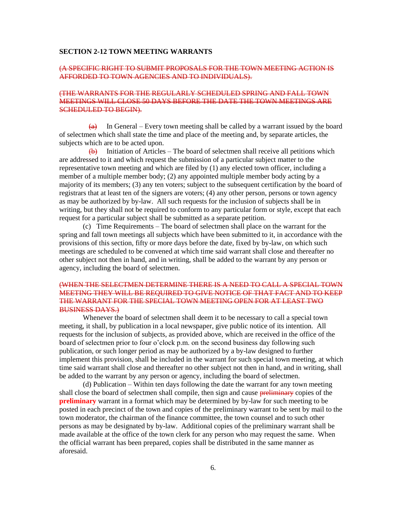#### **SECTION 2-12 TOWN MEETING WARRANTS**

#### (A SPECIFIC RIGHT TO SUBMIT PROPOSALS FOR THE TOWN MEETING ACTION IS AFFORDED TO TOWN AGENCIES AND TO INDIVIDUALS).

# (THE WARRANTS FOR THE REGULARLY SCHEDULED SPRING AND FALL TOWN MEETINGS WILL CLOSE 50 DAYS BEFORE THE DATE THE TOWN MEETINGS ARE SCHEDULED TO BEGIN).

 $(a)$  In General – Every town meeting shall be called by a warrant issued by the board of selectmen which shall state the time and place of the meeting and, by separate articles, the subjects which are to be acted upon.

 $\overline{(b)}$  Initiation of Articles – The board of selectmen shall receive all petitions which are addressed to it and which request the submission of a particular subject matter to the representative town meeting and which are filed by (1) any elected town officer, including a member of a multiple member body; (2) any appointed multiple member body acting by a majority of its members; (3) any ten voters; subject to the subsequent certification by the board of registrars that at least ten of the signers are voters; (4) any other person, persons or town agency as may be authorized by by-law. All such requests for the inclusion of subjects shall be in writing, but they shall not be required to conform to any particular form or style, except that each request for a particular subject shall be submitted as a separate petition.

(c) Time Requirements – The board of selectmen shall place on the warrant for the spring and fall town meetings all subjects which have been submitted to it, in accordance with the provisions of this section, fifty or more days before the date, fixed by by-law, on which such meetings are scheduled to be convened at which time said warrant shall close and thereafter no other subject not then in hand, and in writing, shall be added to the warrant by any person or agency, including the board of selectmen.

# (WHEN THE SELECTMEN DETERMINE THERE IS A NEED TO CALL A SPECIAL TOWN MEETING THEY WILL BE REQUIRED TO GIVE NOTICE OF THAT FACT AND TO KEEP THE WARRANT FOR THE SPECIAL TOWN MEETING OPEN FOR AT LEAST TWO BUSINESS DAYS.)

Whenever the board of selectmen shall deem it to be necessary to call a special town meeting, it shall, by publication in a local newspaper, give public notice of its intention. All requests for the inclusion of subjects, as provided above, which are received in the office of the board of selectmen prior to four o'clock p.m. on the second business day following such publication, or such longer period as may be authorized by a by-law designed to further implement this provision, shall be included in the warrant for such special town meeting, at which time said warrant shall close and thereafter no other subject not then in hand, and in writing, shall be added to the warrant by any person or agency, including the board of selectmen.

(d) Publication – Within ten days following the date the warrant for any town meeting shall close the board of selectmen shall compile, then sign and cause **preliminary** copies of the **preliminary** warrant in a format which may be determined by by-law for such meeting to be posted in each precinct of the town and copies of the preliminary warrant to be sent by mail to the town moderator, the chairman of the finance committee, the town counsel and to such other persons as may be designated by by-law. Additional copies of the preliminary warrant shall be made available at the office of the town clerk for any person who may request the same. When the official warrant has been prepared, copies shall be distributed in the same manner as aforesaid.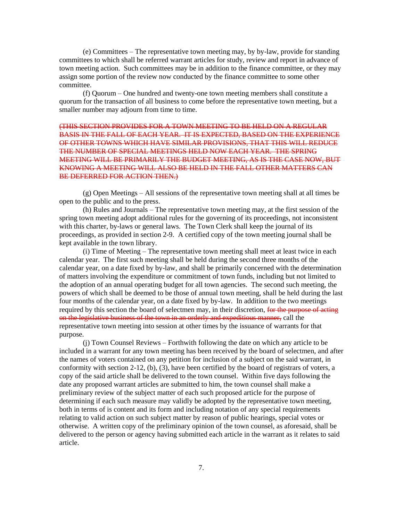(e) Committees – The representative town meeting may, by by-law, provide for standing committees to which shall be referred warrant articles for study, review and report in advance of town meeting action. Such committees may be in addition to the finance committee, or they may assign some portion of the review now conducted by the finance committee to some other committee.

(f) Quorum – One hundred and twenty-one town meeting members shall constitute a quorum for the transaction of all business to come before the representative town meeting, but a smaller number may adjourn from time to time.

(THIS SECTION PROVIDES FOR A TOWN MEETING TO BE HELD ON A REGULAR BASIS IN THE FALL OF EACH YEAR. IT IS EXPECTED, BASED ON THE EXPERIENCE OF OTHER TOWNS WHICH HAVE SIMILAR PROVISIONS, THAT THIS WILL REDUCE THE NUMBER OF SPECIAL MEETINGS HELD NOW EACH YEAR. THE SPRING MEETING WILL BE PRIMARILY THE BUDGET MEETING, AS IS THE CASE NOW, BUT KNOWING A MEETING WILL ALSO BE HELD IN THE FALL OTHER MATTERS CAN BE DEFERRED FOR ACTION THEN.)

(g) Open Meetings – All sessions of the representative town meeting shall at all times be open to the public and to the press.

(h) Rules and Journals – The representative town meeting may, at the first session of the spring town meeting adopt additional rules for the governing of its proceedings, not inconsistent with this charter, by-laws or general laws. The Town Clerk shall keep the journal of its proceedings, as provided in section 2-9. A certified copy of the town meeting journal shall be kept available in the town library.

(i) Time of Meeting – The representative town meeting shall meet at least twice in each calendar year. The first such meeting shall be held during the second three months of the calendar year, on a date fixed by by-law, and shall be primarily concerned with the determination of matters involving the expenditure or commitment of town funds, including but not limited to the adoption of an annual operating budget for all town agencies. The second such meeting, the powers of which shall be deemed to be those of annual town meeting, shall be held during the last four months of the calendar year, on a date fixed by by-law. In addition to the two meetings required by this section the board of selectmen may, in their discretion, for the purpose of acting on the legislative business of the town in an orderly and expeditious manner, call the representative town meeting into session at other times by the issuance of warrants for that purpose.

(j) Town Counsel Reviews – Forthwith following the date on which any article to be included in a warrant for any town meeting has been received by the board of selectmen, and after the names of voters contained on any petition for inclusion of a subject on the said warrant, in conformity with section 2-12, (b), (3), have been certified by the board of registrars of voters, a copy of the said article shall be delivered to the town counsel. Within five days following the date any proposed warrant articles are submitted to him, the town counsel shall make a preliminary review of the subject matter of each such proposed article for the purpose of determining if each such measure may validly be adopted by the representative town meeting, both in terms of is content and its form and including notation of any special requirements relating to valid action on such subject matter by reason of public hearings, special votes or otherwise. A written copy of the preliminary opinion of the town counsel, as aforesaid, shall be delivered to the person or agency having submitted each article in the warrant as it relates to said article.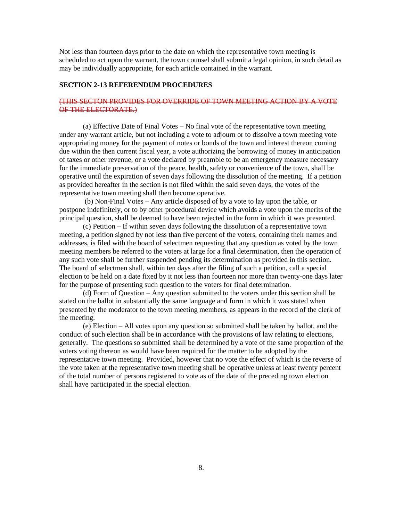Not less than fourteen days prior to the date on which the representative town meeting is scheduled to act upon the warrant, the town counsel shall submit a legal opinion, in such detail as may be individually appropriate, for each article contained in the warrant.

#### **SECTION 2-13 REFERENDUM PROCEDURES**

# (THIS SECTON PROVIDES FOR OVERRIDE OF TOWN MEETING ACTION BY A VOTE OF THE ELECTORATE.)

(a) Effective Date of Final Votes – No final vote of the representative town meeting under any warrant article, but not including a vote to adjourn or to dissolve a town meeting vote appropriating money for the payment of notes or bonds of the town and interest thereon coming due within the then current fiscal year, a vote authorizing the borrowing of money in anticipation of taxes or other revenue, or a vote declared by preamble to be an emergency measure necessary for the immediate preservation of the peace, health, safety or convenience of the town, shall be operative until the expiration of seven days following the dissolution of the meeting. If a petition as provided hereafter in the section is not filed within the said seven days, the votes of the representative town meeting shall then become operative.

(b) Non-Final Votes – Any article disposed of by a vote to lay upon the table, or postpone indefinitely, or to by other procedural device which avoids a vote upon the merits of the principal question, shall be deemed to have been rejected in the form in which it was presented.

(c) Petition – If within seven days following the dissolution of a representative town meeting, a petition signed by not less than five percent of the voters, containing their names and addresses, is filed with the board of selectmen requesting that any question as voted by the town meeting members be referred to the voters at large for a final determination, then the operation of any such vote shall be further suspended pending its determination as provided in this section. The board of selectmen shall, within ten days after the filing of such a petition, call a special election to be held on a date fixed by it not less than fourteen nor more than twenty-one days later for the purpose of presenting such question to the voters for final determination.

(d) Form of Question – Any question submitted to the voters under this section shall be stated on the ballot in substantially the same language and form in which it was stated when presented by the moderator to the town meeting members, as appears in the record of the clerk of the meeting.

(e) Election – All votes upon any question so submitted shall be taken by ballot, and the conduct of such election shall be in accordance with the provisions of law relating to elections, generally. The questions so submitted shall be determined by a vote of the same proportion of the voters voting thereon as would have been required for the matter to be adopted by the representative town meeting. Provided, however that no vote the effect of which is the reverse of the vote taken at the representative town meeting shall be operative unless at least twenty percent of the total number of persons registered to vote as of the date of the preceding town election shall have participated in the special election.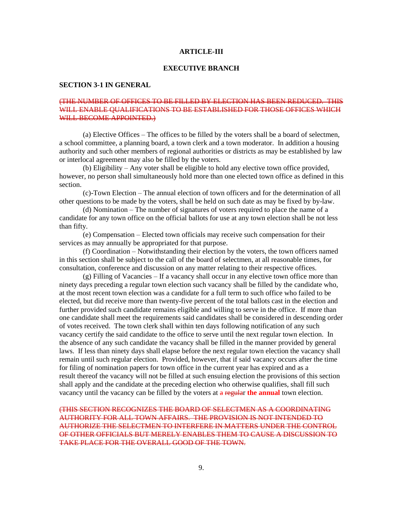#### **ARTICLE-III**

#### **EXECUTIVE BRANCH**

#### **SECTION 3-1 IN GENERAL**

# (THE NUMBER OF OFFICES TO BE FILLED BY ELECTION HAS BEEN REDUCED. THIS WILL ENABLE OUALIFICATIONS TO BE ESTABLISHED FOR THOSE OFFICES WHICH WILL BECOME APPOINTED.)

(a) Elective Offices – The offices to be filled by the voters shall be a board of selectmen, a school committee, a planning board, a town clerk and a town moderator. In addition a housing authority and such other members of regional authorities or districts as may be established by law or interlocal agreement may also be filled by the voters.

(b) Eligibility – Any voter shall be eligible to hold any elective town office provided, however, no person shall simultaneously hold more than one elected town office as defined in this section.

(c)-Town Election – The annual election of town officers and for the determination of all other questions to be made by the voters, shall be held on such date as may be fixed by by-law.

(d) Nomination – The number of signatures of voters required to place the name of a candidate for any town office on the official ballots for use at any town election shall be not less than fifty.

(e) Compensation – Elected town officials may receive such compensation for their services as may annually be appropriated for that purpose.

(f) Coordination – Notwithstanding their election by the voters, the town officers named in this section shall be subject to the call of the board of selectmen, at all reasonable times, for consultation, conference and discussion on any matter relating to their respective offices.

(g) Filling of Vacancies – If a vacancy shall occur in any elective town office more than ninety days preceding a regular town election such vacancy shall be filled by the candidate who, at the most recent town election was a candidate for a full term to such office who failed to be elected, but did receive more than twenty-five percent of the total ballots cast in the election and further provided such candidate remains eligible and willing to serve in the office. If more than one candidate shall meet the requirements said candidates shall be considered in descending order of votes received. The town clerk shall within ten days following notification of any such vacancy certify the said candidate to the office to serve until the next regular town election. In the absence of any such candidate the vacancy shall be filled in the manner provided by general laws. If less than ninety days shall elapse before the next regular town election the vacancy shall remain until such regular election. Provided, however, that if said vacancy occurs after the time for filing of nomination papers for town office in the current year has expired and as a result thereof the vacancy will not be filled at such ensuing election the provisions of this section shall apply and the candidate at the preceding election who otherwise qualifies, shall fill such vacancy until the vacancy can be filled by the voters at a regular **the annual** town election.

(THIS SECTION RECOGNIZES THE BOARD OF SELECTMEN AS A COORDINATING AUTHORITY FOR ALL TOWN AFFAIRS. THE PROVISION IS NOT INTENDED TO AUTHORIZE THE SELECTMEN TO INTERFERE IN MATTERS UNDER THE CONTROL OF OTHER OFFICIALS BUT MERELY ENABLES THEM TO CAUSE A DISCUSSION TO TAKE PLACE FOR THE OVERALL GOOD OF THE TOWN.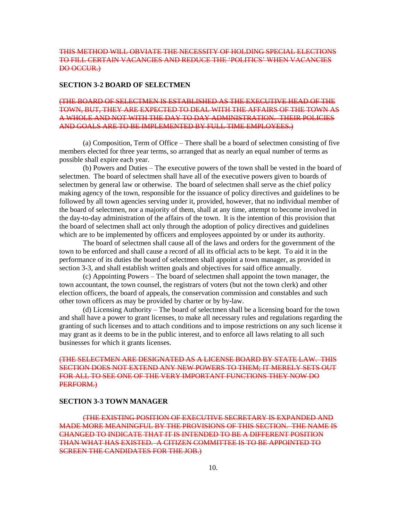# THIS METHOD WILL OBVIATE THE NECESSITY OF HOLDING SPECIAL ELECTIONS TO FILL CERTAIN VACANCIES AND REDUCE THE 'POLITICS' WHEN VACANCIES DO OCCUR.)

#### **SECTION 3-2 BOARD OF SELECTMEN**

# (THE BOARD OF SELECTMEN IS ESTABLISHED AS THE EXECUTIVE HEAD OF THE TOWN, BUT, THEY ARE EXPECTED TO DEAL WITH THE AFFAIRS OF THE TOWN AS A WHOLE AND NOT WITH THE DAY TO DAY ADMINISTRATION. THEIR POLICIES AND GOALS ARE TO BE IMPLEMENTED BY FULL TIME EMPLOYEES.)

(a) Composition, Term of Office – There shall be a board of selectmen consisting of five members elected for three year terms, so arranged that as nearly an equal number of terms as possible shall expire each year.

(b) Powers and Duties – The executive powers of the town shall be vested in the board of selectmen. The board of selectmen shall have all of the executive powers given to boards of selectmen by general law or otherwise. The board of selectmen shall serve as the chief policy making agency of the town, responsible for the issuance of policy directives and guidelines to be followed by all town agencies serving under it, provided, however, that no individual member of the board of selectmen, nor a majority of them, shall at any time, attempt to become involved in the day-to-day administration of the affairs of the town. It is the intention of this provision that the board of selectmen shall act only through the adoption of policy directives and guidelines which are to be implemented by officers and employees appointed by or under its authority.

The board of selectmen shall cause all of the laws and orders for the government of the town to be enforced and shall cause a record of all its official acts to be kept. To aid it in the performance of its duties the board of selectmen shall appoint a town manager, as provided in section 3-3, and shall establish written goals and objectives for said office annually.

(c) Appointing Powers – The board of selectmen shall appoint the town manager, the town accountant, the town counsel, the registrars of voters (but not the town clerk) and other election officers, the board of appeals, the conservation commission and constables and such other town officers as may be provided by charter or by by-law.

(d) Licensing Authority – The board of selectmen shall be a licensing board for the town and shall have a power to grant licenses, to make all necessary rules and regulations regarding the granting of such licenses and to attach conditions and to impose restrictions on any such license it may grant as it deems to be in the public interest, and to enforce all laws relating to all such businesses for which it grants licenses.

# (THE SELECTMEN ARE DESIGNATED AS A LICENSE BOARD BY STATE LAW. THIS SECTION DOES NOT EXTEND ANY NEW POWERS TO THEM; IT MERELY SETS OUT FOR ALL TO SEE ONE OF THE VERY IMPORTANT FUNCTIONS THEY NOW DO PERFORM.)

#### **SECTION 3-3 TOWN MANAGER**

(THE EXISTING POSITION OF EXECUTIVE SECRETARY IS EXPANDED AND MADE MORE MEANINGFUL BY THE PROVISIONS OF THIS SECTION. THE NAME IS CHANGED TO INDICATE THAT IT IS INTENDED TO BE A DIFFERENT POSITION THAN WHAT HAS EXISTED. A CITIZEN COMMITTEE IS TO BE APPOINTED TO SCREEN THE CANDIDATES FOR THE JOB.)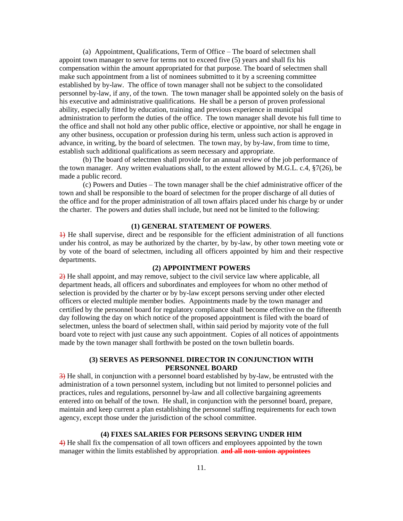(a) Appointment, Qualifications, Term of Office – The board of selectmen shall appoint town manager to serve for terms not to exceed five (5) years and shall fix his compensation within the amount appropriated for that purpose. The board of selectmen shall make such appointment from a list of nominees submitted to it by a screening committee established by by-law. The office of town manager shall not be subject to the consolidated personnel by-law, if any, of the town. The town manager shall be appointed solely on the basis of his executive and administrative qualifications. He shall be a person of proven professional ability, especially fitted by education, training and previous experience in municipal administration to perform the duties of the office. The town manager shall devote his full time to the office and shall not hold any other public office, elective or appointive, nor shall he engage in any other business, occupation or profession during his term, unless such action is approved in advance, in writing, by the board of selectmen. The town may, by by-law, from time to time, establish such additional qualifications as seem necessary and appropriate.

(b) The board of selectmen shall provide for an annual review of the job performance of the town manager. Any written evaluations shall, to the extent allowed by M.G.L. c.4, §7(26), be made a public record.

(c) Powers and Duties – The town manager shall be the chief administrative officer of the town and shall be responsible to the board of selectmen for the proper discharge of all duties of the office and for the proper administration of all town affairs placed under his charge by or under the charter. The powers and duties shall include, but need not be limited to the following:

# **(1) GENERAL STATEMENT OF POWERS**.

 $\overline{+}$  He shall supervise, direct and be responsible for the efficient administration of all functions under his control, as may be authorized by the charter, by by-law, by other town meeting vote or by vote of the board of selectmen, including all officers appointed by him and their respective departments.

# **(2) APPOINTMENT POWERS**

2) He shall appoint, and may remove, subject to the civil service law where applicable, all department heads, all officers and subordinates and employees for whom no other method of selection is provided by the charter or by by-law except persons serving under other elected officers or elected multiple member bodies. Appointments made by the town manager and certified by the personnel board for regulatory compliance shall become effective on the fifteenth day following the day on which notice of the proposed appointment is filed with the board of selectmen, unless the board of selectmen shall, within said period by majority vote of the full board vote to reject with just cause any such appointment. Copies of all notices of appointments made by the town manager shall forthwith be posted on the town bulletin boards.

# **(3) SERVES AS PERSONNEL DIRECTOR IN CONJUNCTION WITH PERSONNEL BOARD**

 $\overline{3}$ ) He shall, in conjunction with a personnel board established by by-law, be entrusted with the administration of a town personnel system, including but not limited to personnel policies and practices, rules and regulations, personnel by-law and all collective bargaining agreements entered into on behalf of the town. He shall, in conjunction with the personnel board, prepare, maintain and keep current a plan establishing the personnel staffing requirements for each town agency, except those under the jurisdiction of the school committee.

#### **(4) FIXES SALARIES FOR PERSONS SERVING UNDER HIM**

4) He shall fix the compensation of all town officers and employees appointed by the town manager within the limits established by appropriation. **and all non-union appointees**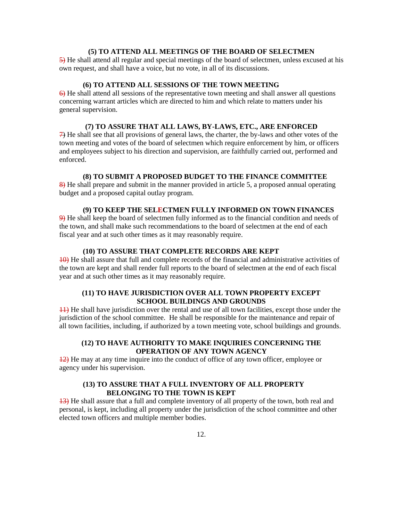# **(5) TO ATTEND ALL MEETINGS OF THE BOARD OF SELECTMEN**

5) He shall attend all regular and special meetings of the board of selectmen, unless excused at his own request, and shall have a voice, but no vote, in all of its discussions.

# **(6) TO ATTEND ALL SESSIONS OF THE TOWN MEETING**

6) He shall attend all sessions of the representative town meeting and shall answer all questions concerning warrant articles which are directed to him and which relate to matters under his general supervision.

# **(7) TO ASSURE THAT ALL LAWS, BY-LAWS, ETC., ARE ENFORCED**

7) He shall see that all provisions of general laws, the charter, the by-laws and other votes of the town meeting and votes of the board of selectmen which require enforcement by him, or officers and employees subject to his direction and supervision, are faithfully carried out, performed and enforced.

# **(8) TO SUBMIT A PROPOSED BUDGET TO THE FINANCE COMMITTEE**

8) He shall prepare and submit in the manner provided in article 5, a proposed annual operating budget and a proposed capital outlay program.

#### **(9) TO KEEP THE SELECTMEN FULLY INFORMED ON TOWN FINANCES**

9) He shall keep the board of selectmen fully informed as to the financial condition and needs of the town, and shall make such recommendations to the board of selectmen at the end of each fiscal year and at such other times as it may reasonably require.

# **(10) TO ASSURE THAT COMPLETE RECORDS ARE KEPT**

10) He shall assure that full and complete records of the financial and administrative activities of the town are kept and shall render full reports to the board of selectmen at the end of each fiscal year and at such other times as it may reasonably require.

# **(11) TO HAVE JURISDICTION OVER ALL TOWN PROPERTY EXCEPT SCHOOL BUILDINGS AND GROUNDS**

11) He shall have jurisdiction over the rental and use of all town facilities, except those under the jurisdiction of the school committee. He shall be responsible for the maintenance and repair of all town facilities, including, if authorized by a town meeting vote, school buildings and grounds.

# **(12) TO HAVE AUTHORITY TO MAKE INQUIRIES CONCERNING THE OPERATION OF ANY TOWN AGENCY**

 $\frac{12}{2}$  He may at any time inquire into the conduct of office of any town officer, employee or agency under his supervision.

# **(13) TO ASSURE THAT A FULL INVENTORY OF ALL PROPERTY BELONGING TO THE TOWN IS KEPT**

13) He shall assure that a full and complete inventory of all property of the town, both real and personal, is kept, including all property under the jurisdiction of the school committee and other elected town officers and multiple member bodies.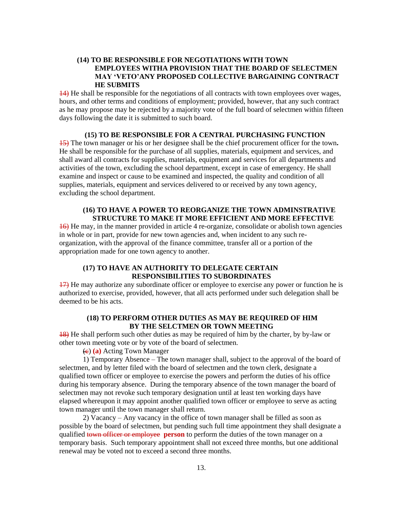# **(14) TO BE RESPONSIBLE FOR NEGOTIATIONS WITH TOWN EMPLOYEES WITHA PROVISION THAT THE BOARD OF SELECTMEN MAY 'VETO'ANY PROPOSED COLLECTIVE BARGAINING CONTRACT HE SUBMITS**

14) He shall be responsible for the negotiations of all contracts with town employees over wages, hours, and other terms and conditions of employment; provided, however, that any such contract as he may propose may be rejected by a majority vote of the full board of selectmen within fifteen days following the date it is submitted to such board.

# **(15) TO BE RESPONSIBLE FOR A CENTRAL PURCHASING FUNCTION**

15) The town manager or his or her designee shall be the chief procurement officer for the town*.*  He shall be responsible for the purchase of all supplies, materials, equipment and services, and shall award all contracts for supplies, materials, equipment and services for all departments and activities of the town, excluding the school department, except in case of emergency. He shall examine and inspect or cause to be examined and inspected, the quality and condition of all supplies, materials, equipment and services delivered to or received by any town agency, excluding the school department.

# **(16) TO HAVE A POWER TO REORGANIZE THE TOWN ADMINSTRATIVE STRUCTURE TO MAKE IT MORE EFFICIENT AND MORE EFFECTIVE**

16) He may, in the manner provided in article 4 re-organize, consolidate or abolish town agencies in whole or in part, provide for new town agencies and, when incident to any such reorganization, with the approval of the finance committee, transfer all or a portion of the appropriation made for one town agency to another.

# **(17) TO HAVE AN AUTHORITY TO DELEGATE CERTAIN RESPONSIBILITIES TO SUBORDINATES**

17) He may authorize any subordinate officer or employee to exercise any power or function he is authorized to exercise, provided, however, that all acts performed under such delegation shall be deemed to be his acts.

# **(18) TO PERFORM OTHER DUTIES AS MAY BE REQUIRED OF HIM BY THE SELCTMEN OR TOWN MEETING**

18) He shall perform such other duties as may be required of him by the charter, by by-law or other town meeting vote or by vote of the board of selectmen.

(c) **(a)** Acting Town Manager

1) Temporary Absence – The town manager shall, subject to the approval of the board of selectmen, and by letter filed with the board of selectmen and the town clerk, designate a qualified town officer or employee to exercise the powers and perform the duties of his office during his temporary absence. During the temporary absence of the town manager the board of selectmen may not revoke such temporary designation until at least ten working days have elapsed whereupon it may appoint another qualified town officer or employee to serve as acting town manager until the town manager shall return.

2) Vacancy – Any vacancy in the office of town manager shall be filled as soon as possible by the board of selectmen, but pending such full time appointment they shall designate a qualified town officer or employee **person** to perform the duties of the town manager on a temporary basis. Such temporary appointment shall not exceed three months, but one additional renewal may be voted not to exceed a second three months.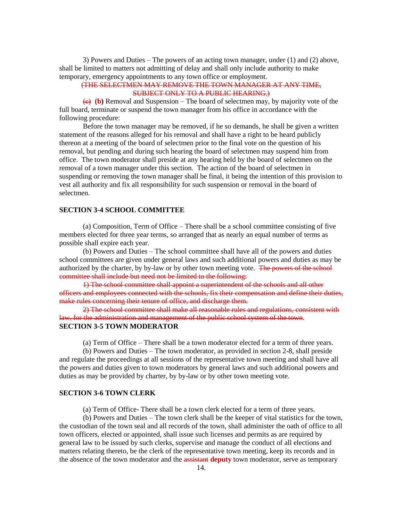3) Powers and Duties – The powers of an acting town manager, under (1) and (2) above, shall be limited to matters not admitting of delay and shall only include authority to make temporary, emergency appointments to any town office or employment.

# (THE SELECTMEN MAY REMOVE THE TOWN MANAGER AT ANY TIME, SUBJECT ONLY TO A PUBLIC HEARING.)

 $\overline{(e)}$  (b) Removal and Suspension – The board of selectmen may, by majority vote of the full board, terminate or suspend the town manager from his office in accordance with the following procedure:

Before the town manager may be removed, if he so demands, he shall be given a written statement of the reasons alleged for his removal and shall have a right to be heard publicly thereon at a meeting of the board of selectmen prior to the final vote on the question of his removal, but pending and during such hearing the board of selectmen may suspend him from office. The town moderator shall preside at any hearing held by the board of selectmen on the removal of a town manager under this section. The action of the board of selectmen in suspending or removing the town manager shall be final, it being the intention of this provision to vest all authority and fix all responsibility for such suspension or removal in the board of selectmen.

# **SECTION 3-4 SCHOOL COMMITTEE**

(a) Composition, Term of Office – There shall be a school committee consisting of five members elected for three year terms, so arranged that as nearly an equal number of terms as possible shall expire each year.

(b) Powers and Duties – The school committee shall have all of the powers and duties school committees are given under general laws and such additional powers and duties as may be authorized by the charter, by by-law or by other town meeting vote. The powers of the school committee shall include but need not be limited to the following:

1) The school committee shall appoint a superintendent of the schools and all other officers and employees connected with the schools, fix their compensation and define their duties, make rules concerning their tenure of office, and discharge them.

2) The school committee shall make all reasonable rules and regulations, consistent with law, for the administration and management of the public school system of the town. **SECTION 3-5 TOWN MODERATOR**

(a) Term of Office – There shall be a town moderator elected for a term of three years.

(b) Powers and Duties – The town moderator, as provided in section 2-8, shall preside and regulate the proceedings at all sessions of the representative town meeting and shall have all the powers and duties given to town moderators by general laws and such additional powers and duties as may be provided by charter, by by-law or by other town meeting vote.

#### **SECTION 3-6 TOWN CLERK**

(a) Term of Office- There shall be a town clerk elected for a term of three years.

(b) Powers and Duties – The town clerk shall be the keeper of vital statistics for the town, the custodian of the town seal and all records of the town, shall administer the oath of office to all town officers, elected or appointed, shall issue such licenses and permits as are required by general law to be issued by such clerks, supervise and manage the conduct of all elections and matters relating thereto, be the clerk of the representative town meeting, keep its records and in the absence of the town moderator and the assistant **deputy** town moderator, serve as temporary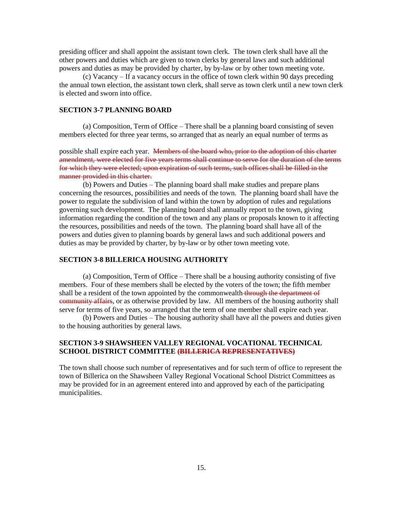presiding officer and shall appoint the assistant town clerk. The town clerk shall have all the other powers and duties which are given to town clerks by general laws and such additional powers and duties as may be provided by charter, by by-law or by other town meeting vote.

(c) Vacancy – If a vacancy occurs in the office of town clerk within 90 days preceding the annual town election, the assistant town clerk, shall serve as town clerk until a new town clerk is elected and sworn into office.

# **SECTION 3-7 PLANNING BOARD**

(a) Composition, Term of Office – There shall be a planning board consisting of seven members elected for three year terms, so arranged that as nearly an equal number of terms as

possible shall expire each year. Members of the board who, prior to the adoption of this charter amendment, were elected for five years terms shall continue to serve for the duration of the terms for which they were elected; upon expiration of such terms, such offices shall be filled in the manner provided in this charter.

(b) Powers and Duties – The planning board shall make studies and prepare plans concerning the resources, possibilities and needs of the town. The planning board shall have the power to regulate the subdivision of land within the town by adoption of rules and regulations governing such development. The planning board shall annually report to the town, giving information regarding the condition of the town and any plans or proposals known to it affecting the resources, possibilities and needs of the town. The planning board shall have all of the powers and duties given to planning boards by general laws and such additional powers and duties as may be provided by charter, by by-law or by other town meeting vote.

# **SECTION 3-8 BILLERICA HOUSING AUTHORITY**

(a) Composition, Term of Office – There shall be a housing authority consisting of five members. Four of these members shall be elected by the voters of the town; the fifth member shall be a resident of the town appointed by the commonwealth through the department of **community affairs**, or as otherwise provided by law. All members of the housing authority shall serve for terms of five years, so arranged that the term of one member shall expire each year.

(b) Powers and Duties – The housing authority shall have all the powers and duties given to the housing authorities by general laws.

# **SECTION 3-9 SHAWSHEEN VALLEY REGIONAL VOCATIONAL TECHNICAL SCHOOL DISTRICT COMMITTEE (BILLERICA REPRESENTATIVES)**

The town shall choose such number of representatives and for such term of office to represent the town of Billerica on the Shawsheen Valley Regional Vocational School District Committees as may be provided for in an agreement entered into and approved by each of the participating municipalities.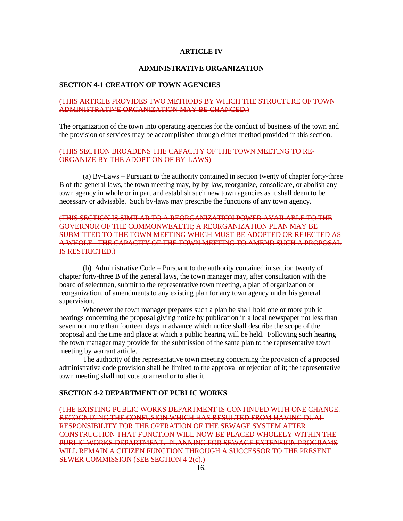#### **ARTICLE IV**

#### **ADMINISTRATIVE ORGANIZATION**

#### **SECTION 4-1 CREATION OF TOWN AGENCIES**

# (THIS ARTICLE PROVIDES TWO METHODS BY WHICH THE STRUCTURE OF TOWN ADMINISTRATIVE ORGANIZATION MAY BE CHANGED.)

The organization of the town into operating agencies for the conduct of business of the town and the provision of services may be accomplished through either method provided in this section.

# (THIS SECTION BROADENS THE CAPACITY OF THE TOWN MEETING TO RE-ORGANIZE BY THE ADOPTION OF BY-LAWS)

(a) By-Laws – Pursuant to the authority contained in section twenty of chapter forty-three B of the general laws, the town meeting may, by by-law, reorganize, consolidate, or abolish any town agency in whole or in part and establish such new town agencies as it shall deem to be necessary or advisable. Such by-laws may prescribe the functions of any town agency.

# (THIS SECTION IS SIMILAR TO A REORGANIZATION POWER AVAILABLE TO THE GOVERNOR OF THE COMMONWEALTH; A REORGANIZATION PLAN MAY BE SUBMITTED TO THE TOWN MEETING WHICH MUST BE ADOPTED OR REJECTED AS A WHOLE. THE CAPACITY OF THE TOWN MEETING TO AMEND SUCH A PROPOSAL IS RESTRICTED.)

(b) Administrative Code – Pursuant to the authority contained in section twenty of chapter forty-three B of the general laws, the town manager may, after consultation with the board of selectmen, submit to the representative town meeting, a plan of organization or reorganization, of amendments to any existing plan for any town agency under his general supervision.

Whenever the town manager prepares such a plan he shall hold one or more public hearings concerning the proposal giving notice by publication in a local newspaper not less than seven nor more than fourteen days in advance which notice shall describe the scope of the proposal and the time and place at which a public hearing will be held. Following such hearing the town manager may provide for the submission of the same plan to the representative town meeting by warrant article.

The authority of the representative town meeting concerning the provision of a proposed administrative code provision shall be limited to the approval or rejection of it; the representative town meeting shall not vote to amend or to alter it.

#### **SECTION 4-2 DEPARTMENT OF PUBLIC WORKS**

(THE EXISTING PUBLIC WORKS DEPARTMENT IS CONTINUED WITH ONE CHANGE. RECOGNIZING THE CONFUSION WHICH HAS RESULTED FROM HAVING DUAL RESPONSIBILITY FOR THE OPERATION OF THE SEWAGE SYSTEM AFTER CONSTRUCTION THAT FUNCTION WILL NOW BE PLACED WHOLELY WITHIN THE PUBLIC WORKS DEPARTMENT. PLANNING FOR SEWAGE EXTENSION PROGRAMS WILL REMAIN A CITIZEN FUNCTION THROUGH A SUCCESSOR TO THE PRESENT SEWER COMMISSION (SEE SECTION 4-2(c).)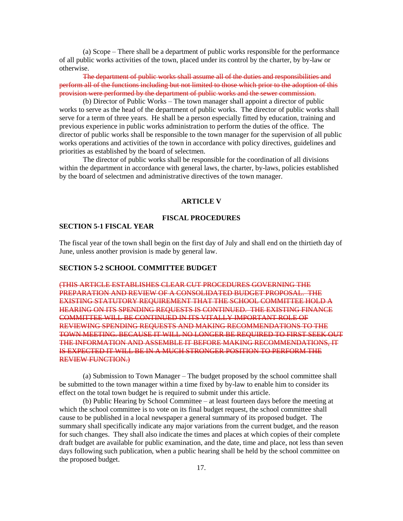(a) Scope – There shall be a department of public works responsible for the performance of all public works activities of the town, placed under its control by the charter, by by-law or otherwise.

The department of public works shall assume all of the duties and responsibilities and perform all of the functions including but not limited to those which prior to the adoption of this provision were performed by the department of public works and the sewer commission.

(b) Director of Public Works – The town manager shall appoint a director of public works to serve as the head of the department of public works. The director of public works shall serve for a term of three years. He shall be a person especially fitted by education, training and previous experience in public works administration to perform the duties of the office. The director of public works shall be responsible to the town manager for the supervision of all public works operations and activities of the town in accordance with policy directives, guidelines and priorities as established by the board of selectmen.

The director of public works shall be responsible for the coordination of all divisions within the department in accordance with general laws, the charter, by-laws, policies established by the board of selectmen and administrative directives of the town manager.

#### **ARTICLE V**

#### **FISCAL PROCEDURES**

### **SECTION 5-1 FISCAL YEAR**

The fiscal year of the town shall begin on the first day of July and shall end on the thirtieth day of June, unless another provision is made by general law.

# **SECTION 5-2 SCHOOL COMMITTEE BUDGET**

(THIS ARTICLE ESTABLISHES CLEAR CUT PROCEDURES GOVERNING THE PREPARATION AND REVIEW OF A CONSOLIDATED BUDGET PROPOSAL. THE EXISTING STATUTORY REQUIREMENT THAT THE SCHOOL COMMITTEE HOLD A HEARING ON ITS SPENDING REQUESTS IS CONTINUED. THE EXISTING FINANCE COMMITTEE WILL BE CONTINUED IN ITS VITALLY IMPORTANT ROLE OF REVIEWING SPENDING REQUESTS AND MAKING RECOMMENDATIONS TO THE TOWN MEETING. BECAUSE IT WILL NO LONGER BE REQUIRED TO FIRST SEEK OUT THE INFORMATION AND ASSEMBLE IT BEFORE MAKING RECOMMENDATIONS, IT IS EXPECTED IT WILL BE IN A MUCH STRONGER POSITION TO PERFORM THE REVIEW FUNCTION.)

(a) Submission to Town Manager – The budget proposed by the school committee shall be submitted to the town manager within a time fixed by by-law to enable him to consider its effect on the total town budget he is required to submit under this article.

(b) Public Hearing by School Committee – at least fourteen days before the meeting at which the school committee is to vote on its final budget request, the school committee shall cause to be published in a local newspaper a general summary of its proposed budget. The summary shall specifically indicate any major variations from the current budget, and the reason for such changes. They shall also indicate the times and places at which copies of their complete draft budget are available for public examination, and the date, time and place, not less than seven days following such publication, when a public hearing shall be held by the school committee on the proposed budget.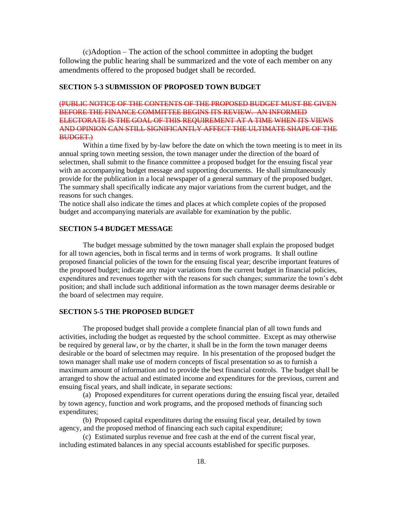(c)Adoption – The action of the school committee in adopting the budget following the public hearing shall be summarized and the vote of each member on any amendments offered to the proposed budget shall be recorded.

# **SECTION 5-3 SUBMISSION OF PROPOSED TOWN BUDGET**

# (PUBLIC NOTICE OF THE CONTENTS OF THE PROPOSED BUDGET MUST BE GIVEN BEFORE THE FINANCE COMMITTEE BEGINS ITS REVIEW. AN INFORMED ELECTORATE IS THE GOAL OF THIS REQUIREMENT AT A TIME WHEN ITS VIEWS AND OPINION CAN STILL SIGNIFICANTLY AFFECT THE ULTIMATE SHAPE OF THE BUDGET.)

Within a time fixed by by-law before the date on which the town meeting is to meet in its annual spring town meeting session, the town manager under the direction of the board of selectmen, shall submit to the finance committee a proposed budget for the ensuing fiscal year with an accompanying budget message and supporting documents. He shall simultaneously provide for the publication in a local newspaper of a general summary of the proposed budget. The summary shall specifically indicate any major variations from the current budget, and the reasons for such changes.

The notice shall also indicate the times and places at which complete copies of the proposed budget and accompanying materials are available for examination by the public.

# **SECTION 5-4 BUDGET MESSAGE**

The budget message submitted by the town manager shall explain the proposed budget for all town agencies, both in fiscal terms and in terms of work programs. It shall outline proposed financial policies of the town for the ensuing fiscal year; describe important features of the proposed budget; indicate any major variations from the current budget in financial policies, expenditures and revenues together with the reasons for such changes; summarize the town's debt position; and shall include such additional information as the town manager deems desirable or the board of selectmen may require.

# **SECTION 5-5 THE PROPOSED BUDGET**

The proposed budget shall provide a complete financial plan of all town funds and activities, including the budget as requested by the school committee. Except as may otherwise be required by general law, or by the charter, it shall be in the form the town manager deems desirable or the board of selectmen may require. In his presentation of the proposed budget the town manager shall make use of modern concepts of fiscal presentation so as to furnish a maximum amount of information and to provide the best financial controls. The budget shall be arranged to show the actual and estimated income and expenditures for the previous, current and ensuing fiscal years, and shall indicate, in separate sections:

(a) Proposed expenditures for current operations during the ensuing fiscal year, detailed by town agency, function and work programs, and the proposed methods of financing such expenditures;

(b) Proposed capital expenditures during the ensuing fiscal year, detailed by town agency, and the proposed method of financing each such capital expenditure;

(c) Estimated surplus revenue and free cash at the end of the current fiscal year, including estimated balances in any special accounts established for specific purposes.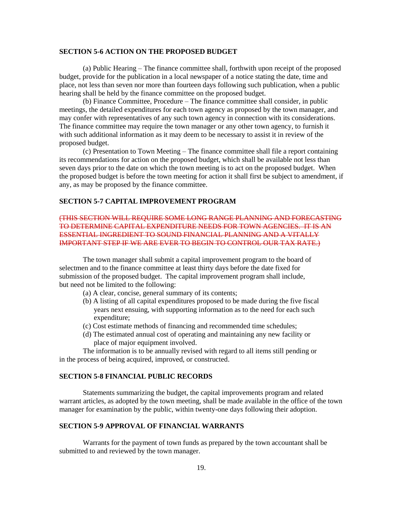# **SECTION 5-6 ACTION ON THE PROPOSED BUDGET**

(a) Public Hearing – The finance committee shall, forthwith upon receipt of the proposed budget, provide for the publication in a local newspaper of a notice stating the date, time and place, not less than seven nor more than fourteen days following such publication, when a public hearing shall be held by the finance committee on the proposed budget.

(b) Finance Committee, Procedure – The finance committee shall consider, in public meetings, the detailed expenditures for each town agency as proposed by the town manager, and may confer with representatives of any such town agency in connection with its considerations. The finance committee may require the town manager or any other town agency, to furnish it with such additional information as it may deem to be necessary to assist it in review of the proposed budget.

(c) Presentation to Town Meeting – The finance committee shall file a report containing its recommendations for action on the proposed budget, which shall be available not less than seven days prior to the date on which the town meeting is to act on the proposed budget. When the proposed budget is before the town meeting for action it shall first be subject to amendment, if any, as may be proposed by the finance committee.

# **SECTION 5-7 CAPITAL IMPROVEMENT PROGRAM**

# (THIS SECTION WILL REQUIRE SOME LONG RANGE PLANNING AND FORECASTING TO DETERMINE CAPITAL EXPENDITURE NEEDS FOR TOWN AGENCIES. IT IS AN ESSENTIAL INGREDIENT TO SOUND FINANCIAL PLANNING AND A VITALLY IMPORTANT STEP IF WE ARE EVER TO BEGIN TO CONTROL OUR TAX RATE.)

The town manager shall submit a capital improvement program to the board of selectmen and to the finance committee at least thirty days before the date fixed for submission of the proposed budget. The capital improvement program shall include, but need not be limited to the following:

- (a) A clear, concise, general summary of its contents;
- (b) A listing of all capital expenditures proposed to be made during the five fiscal years next ensuing, with supporting information as to the need for each such expenditure;
- (c) Cost estimate methods of financing and recommended time schedules;
- (d) The estimated annual cost of operating and maintaining any new facility or place of major equipment involved.

The information is to be annually revised with regard to all items still pending or in the process of being acquired, improved, or constructed.

# **SECTION 5-8 FINANCIAL PUBLIC RECORDS**

Statements summarizing the budget, the capital improvements program and related warrant articles, as adopted by the town meeting, shall be made available in the office of the town manager for examination by the public, within twenty-one days following their adoption.

# **SECTION 5-9 APPROVAL OF FINANCIAL WARRANTS**

Warrants for the payment of town funds as prepared by the town accountant shall be submitted to and reviewed by the town manager.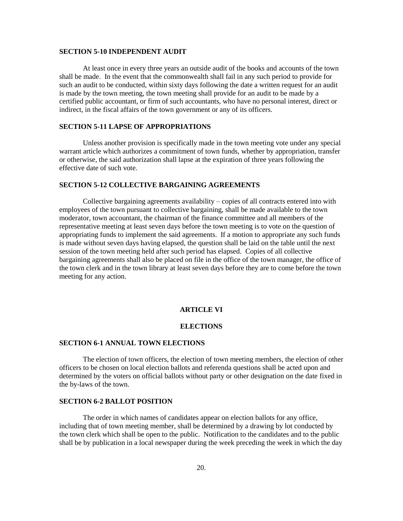#### **SECTION 5-10 INDEPENDENT AUDIT**

At least once in every three years an outside audit of the books and accounts of the town shall be made. In the event that the commonwealth shall fail in any such period to provide for such an audit to be conducted, within sixty days following the date a written request for an audit is made by the town meeting, the town meeting shall provide for an audit to be made by a certified public accountant, or firm of such accountants, who have no personal interest, direct or indirect, in the fiscal affairs of the town government or any of its officers.

# **SECTION 5-11 LAPSE OF APPROPRIATIONS**

Unless another provision is specifically made in the town meeting vote under any special warrant article which authorizes a commitment of town funds, whether by appropriation, transfer or otherwise, the said authorization shall lapse at the expiration of three years following the effective date of such vote.

# **SECTION 5-12 COLLECTIVE BARGAINING AGREEMENTS**

Collective bargaining agreements availability – copies of all contracts entered into with employees of the town pursuant to collective bargaining, shall be made available to the town moderator, town accountant, the chairman of the finance committee and all members of the representative meeting at least seven days before the town meeting is to vote on the question of appropriating funds to implement the said agreements. If a motion to appropriate any such funds is made without seven days having elapsed, the question shall be laid on the table until the next session of the town meeting held after such period has elapsed. Copies of all collective bargaining agreements shall also be placed on file in the office of the town manager, the office of the town clerk and in the town library at least seven days before they are to come before the town meeting for any action.

#### **ARTICLE VI**

# **ELECTIONS**

#### **SECTION 6-1 ANNUAL TOWN ELECTIONS**

The election of town officers, the election of town meeting members, the election of other officers to be chosen on local election ballots and referenda questions shall be acted upon and determined by the voters on official ballots without party or other designation on the date fixed in the by-laws of the town.

# **SECTION 6-2 BALLOT POSITION**

The order in which names of candidates appear on election ballots for any office, including that of town meeting member, shall be determined by a drawing by lot conducted by the town clerk which shall be open to the public. Notification to the candidates and to the public shall be by publication in a local newspaper during the week preceding the week in which the day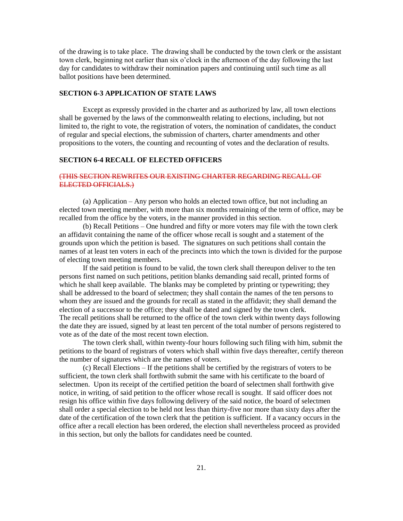of the drawing is to take place. The drawing shall be conducted by the town clerk or the assistant town clerk, beginning not earlier than six o'clock in the afternoon of the day following the last day for candidates to withdraw their nomination papers and continuing until such time as all ballot positions have been determined.

# **SECTION 6-3 APPLICATION OF STATE LAWS**

Except as expressly provided in the charter and as authorized by law, all town elections shall be governed by the laws of the commonwealth relating to elections, including, but not limited to, the right to vote, the registration of voters, the nomination of candidates, the conduct of regular and special elections, the submission of charters, charter amendments and other propositions to the voters, the counting and recounting of votes and the declaration of results.

#### **SECTION 6-4 RECALL OF ELECTED OFFICERS**

# (THIS SECTION REWRITES OUR EXISTING CHARTER REGARDING RECALL OF ELECTED OFFICIALS.)

(a) Application – Any person who holds an elected town office, but not including an elected town meeting member, with more than six months remaining of the term of office, may be recalled from the office by the voters, in the manner provided in this section.

(b) Recall Petitions – One hundred and fifty or more voters may file with the town clerk an affidavit containing the name of the officer whose recall is sought and a statement of the grounds upon which the petition is based. The signatures on such petitions shall contain the names of at least ten voters in each of the precincts into which the town is divided for the purpose of electing town meeting members.

If the said petition is found to be valid, the town clerk shall thereupon deliver to the ten persons first named on such petitions, petition blanks demanding said recall, printed forms of which he shall keep available. The blanks may be completed by printing or typewriting; they shall be addressed to the board of selectmen; they shall contain the names of the ten persons to whom they are issued and the grounds for recall as stated in the affidavit; they shall demand the election of a successor to the office; they shall be dated and signed by the town clerk. The recall petitions shall be returned to the office of the town clerk within twenty days following the date they are issued, signed by at least ten percent of the total number of persons registered to vote as of the date of the most recent town election.

The town clerk shall, within twenty-four hours following such filing with him, submit the petitions to the board of registrars of voters which shall within five days thereafter, certify thereon the number of signatures which are the names of voters.

(c) Recall Elections – If the petitions shall be certified by the registrars of voters to be sufficient, the town clerk shall forthwith submit the same with his certificate to the board of selectmen. Upon its receipt of the certified petition the board of selectmen shall forthwith give notice, in writing, of said petition to the officer whose recall is sought. If said officer does not resign his office within five days following delivery of the said notice, the board of selectmen shall order a special election to be held not less than thirty-five nor more than sixty days after the date of the certification of the town clerk that the petition is sufficient. If a vacancy occurs in the office after a recall election has been ordered, the election shall nevertheless proceed as provided in this section, but only the ballots for candidates need be counted.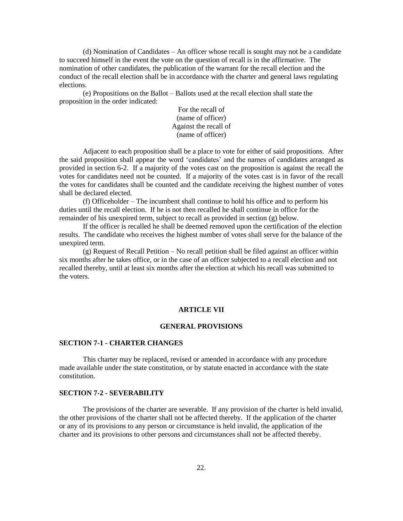(d) Nomination of Candidates – An officer whose recall is sought may not be a candidate to succeed himself in the event the vote on the question of recall is in the affirmative. The nomination of other candidates, the publication of the warrant for the recall election and the conduct of the recall election shall be in accordance with the charter and general laws regulating elections.

(e) Propositions on the Ballot – Ballots used at the recall election shall state the proposition in the order indicated:

> For the recall of (name of officer) Against the recall of (name of officer)

Adjacent to each proposition shall be a place to vote for either of said propositions. After the said proposition shall appear the word 'candidates' and the names of candidates arranged as provided in section 6-2. If a majority of the votes cast on the proposition is against the recall the votes for candidates need not be counted. If a majority of the votes cast is in favor of the recall the votes for candidates shall be counted and the candidate receiving the highest number of votes shall be declared elected.

(f) Officeholder – The incumbent shall continue to hold his office and to perform his duties until the recall election. If he is not then recalled he shall continue in office for the remainder of his unexpired term, subject to recall as provided in section (g) below.

If the officer is recalled he shall be deemed removed upon the certification of the election results. The candidate who receives the highest number of votes shall serve for the balance of the unexpired term.

(g) Request of Recall Petition – No recall petition shall be filed against an officer within six months after he takes office, or in the case of an officer subjected to a recall election and not recalled thereby, until at least six months after the election at which his recall was submitted to the voters.

#### **ARTICLE VII**

#### **GENERAL PROVISIONS**

#### **SECTION 7-1 - CHARTER CHANGES**

This charter may be replaced, revised or amended in accordance with any procedure made available under the state constitution, or by statute enacted in accordance with the state constitution.

#### **SECTION 7-2 - SEVERABILITY**

The provisions of the charter are severable. If any provision of the charter is held invalid, the other provisions of the charter shall not be affected thereby. If the application of the charter or any of its provisions to any person or circumstance is held invalid, the application of the charter and its provisions to other persons and circumstances shall not be affected thereby.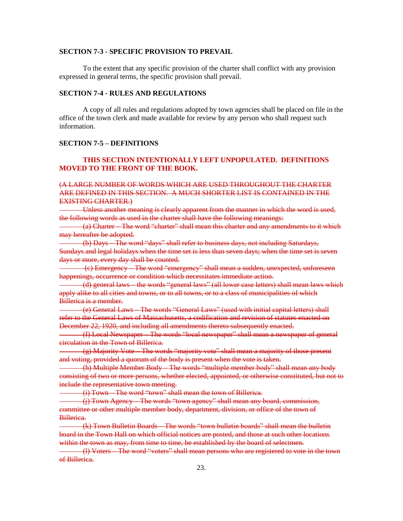#### **SECTION 7-3 - SPECIFIC PROVISION TO PREVAIL**

To the extent that any specific provision of the charter shall conflict with any provision expressed in general terms, the specific provision shall prevail.

#### **SECTION 7-4 - RULES AND REGULATIONS**

A copy of all rules and regulations adopted by town agencies shall be placed on file in the office of the town clerk and made available for review by any person who shall request such information.

# **SECTION 7-5 – DEFINITIONS**

# **THIS SECTION INTENTIONALLY LEFT UNPOPULATED. DEFINITIONS MOVED TO THE FRONT OF THE BOOK.**

# (A LARGE NUMBER OF WORDS WHICH ARE USED THROUGHOUT THE CHARTER ARE DEFINED IN THIS SECTION. A MUCH SHORTER LIST IS CONTAINED IN THE EXISTING CHARTER.)

Unless another meaning is clearly apparent from the manner in which the word is used, the following words as used in the charter shall have the following meanings:

(a) Charter – The word "charter" shall mean this charter and any amendments to it which may hereafter be adopted.

(b) Days – The word "days" shall refer to business days, not including Saturdays, Sundays and legal holidays when the time set is less than seven days; when the time set is seven days or more, every day shall be counted.

(c) Emergency – The word "emergency" shall mean a sudden, unexpected, unforeseen happenings, occurrence or condition which necessitates immediate action.

(d) general laws – the words "general laws" (all lower case letters) shall mean laws which apply alike to all cities and towns, or to all towns, or to a class of municipalities of which Billerica is a member.

(e) General Laws – The words "General Laws" (used with initial capital letters) shall refer to the General Laws of Massachusetts, a codification and revision of statutes enacted on December 22, 1920, and including all amendments thereto subsequently enacted.

(f) Local Newspaper – The words "local newspaper" shall mean a newspaper of general circulation in the Town of Billerica.

(g) Majority Vote – The words "majority vote" shall mean a majority of those present and voting, provided a quorum of the body is present when the vote is taken.

(h) Multiple Member Body – The words "multiple member body" shall mean any body consisting of two or more persons, whether elected, appointed, or otherwise constituted, but not to include the representative town meeting.

(i) Town – The word "town" shall mean the town of Billerica.

(j) Town Agency – The words "town agency" shall mean any board, commission, committee or other multiple member body, department, division, or office of the town of Billerica.

(k) Town Bulletin Boards – The words "town bulletin boards" shall mean the bulletin board in the Town Hall on which official notices are posted, and those at such other locations within the town as may, from time to time, be established by the board of selectmen.

(l) Voters – The word "voters" shall mean persons who are registered to vote in the town of Billerica.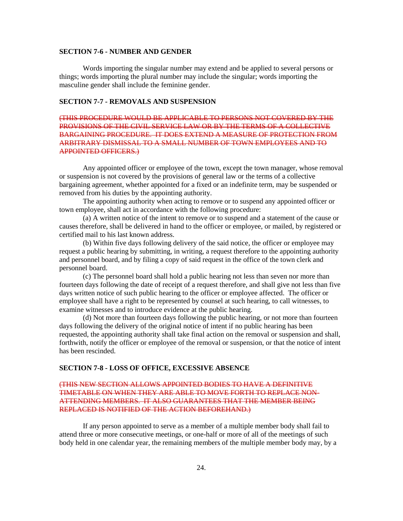#### **SECTION 7-6 - NUMBER AND GENDER**

Words importing the singular number may extend and be applied to several persons or things; words importing the plural number may include the singular; words importing the masculine gender shall include the feminine gender.

# **SECTION 7-7 - REMOVALS AND SUSPENSION**

(THIS PROCEDURE WOULD BE APPLICABLE TO PERSONS NOT COVERED BY THE PROVISIONS OF THE CIVIL SERVICE LAW OR BY THE TERMS OF A COLLECTIVE BARGAINING PROCEDURE. IT DOES EXTEND A MEASURE OF PROTECTION FROM ARBITRARY DISMISSAL TO A SMALL NUMBER OF TOWN EMPLOYEES AND TO APPOINTED OFFICERS.)

Any appointed officer or employee of the town, except the town manager, whose removal or suspension is not covered by the provisions of general law or the terms of a collective bargaining agreement, whether appointed for a fixed or an indefinite term, may be suspended or removed from his duties by the appointing authority.

The appointing authority when acting to remove or to suspend any appointed officer or town employee, shall act in accordance with the following procedure:

(a) A written notice of the intent to remove or to suspend and a statement of the cause or causes therefore, shall be delivered in hand to the officer or employee, or mailed, by registered or certified mail to his last known address.

(b) Within five days following delivery of the said notice, the officer or employee may request a public hearing by submitting, in writing, a request therefore to the appointing authority and personnel board, and by filing a copy of said request in the office of the town clerk and personnel board.

(c) The personnel board shall hold a public hearing not less than seven nor more than fourteen days following the date of receipt of a request therefore, and shall give not less than five days written notice of such public hearing to the officer or employee affected. The officer or employee shall have a right to be represented by counsel at such hearing, to call witnesses, to examine witnesses and to introduce evidence at the public hearing.

(d) Not more than fourteen days following the public hearing, or not more than fourteen days following the delivery of the original notice of intent if no public hearing has been requested, the appointing authority shall take final action on the removal or suspension and shall, forthwith, notify the officer or employee of the removal or suspension, or that the notice of intent has been rescinded.

#### **SECTION 7-8 - LOSS OF OFFICE, EXCESSIVE ABSENCE**

# (THIS NEW SECTION ALLOWS APPOINTED BODIES TO HAVE A DEFINITIVE TIMETABLE ON WHEN THEY ARE ABLE TO MOVE FORTH TO REPLACE NON-ATTENDING MEMBERS. IT ALSO GUARANTEES THAT THE MEMBER BEING REPLACED IS NOTIFIED OF THE ACTION BEFOREHAND.)

If any person appointed to serve as a member of a multiple member body shall fail to attend three or more consecutive meetings, or one-half or more of all of the meetings of such body held in one calendar year, the remaining members of the multiple member body may, by a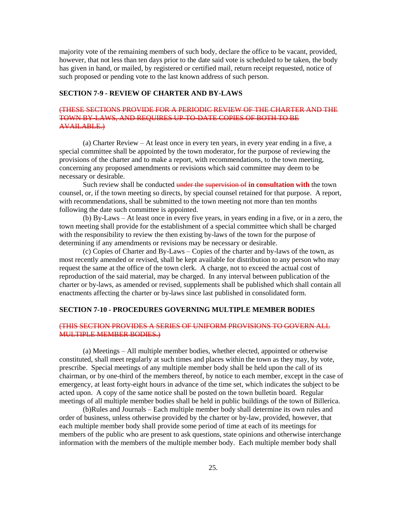majority vote of the remaining members of such body, declare the office to be vacant, provided, however, that not less than ten days prior to the date said vote is scheduled to be taken, the body has given in hand, or mailed, by registered or certified mail, return receipt requested, notice of such proposed or pending vote to the last known address of such person.

# **SECTION 7-9 - REVIEW OF CHARTER AND BY-LAWS**

# (THESE SECTIONS PROVIDE FOR A PERIODIC REVIEW OF THE CHARTER AND THE TOWN BY-LAWS, AND REQUIRES UP-TO-DATE COPIES OF BOTH TO BE AVAILABLE.)

(a) Charter Review – At least once in every ten years, in every year ending in a five, a special committee shall be appointed by the town moderator, for the purpose of reviewing the provisions of the charter and to make a report, with recommendations, to the town meeting, concerning any proposed amendments or revisions which said committee may deem to be necessary or desirable.

Such review shall be conducted under the supervision of **in consultation with** the town counsel, or, if the town meeting so directs, by special counsel retained for that purpose. A report, with recommendations, shall be submitted to the town meeting not more than ten months following the date such committee is appointed.

(b) By-Laws – At least once in every five years, in years ending in a five, or in a zero, the town meeting shall provide for the establishment of a special committee which shall be charged with the responsibility to review the then existing by-laws of the town for the purpose of determining if any amendments or revisions may be necessary or desirable.

(c) Copies of Charter and By-Laws – Copies of the charter and by-laws of the town, as most recently amended or revised, shall be kept available for distribution to any person who may request the same at the office of the town clerk. A charge, not to exceed the actual cost of reproduction of the said material, may be charged. In any interval between publication of the charter or by-laws, as amended or revised, supplements shall be published which shall contain all enactments affecting the charter or by-laws since last published in consolidated form.

#### **SECTION 7-10 - PROCEDURES GOVERNING MULTIPLE MEMBER BODIES**

# (THIS SECTION PROVIDES A SERIES OF UNIFORM PROVISIONS TO GOVERN ALL MULTIPLE MEMBER BODIES.)

(a) Meetings – All multiple member bodies, whether elected, appointed or otherwise constituted, shall meet regularly at such times and places within the town as they may, by vote, prescribe. Special meetings of any multiple member body shall be held upon the call of its chairman, or by one-third of the members thereof, by notice to each member, except in the case of emergency, at least forty-eight hours in advance of the time set, which indicates the subject to be acted upon. A copy of the same notice shall be posted on the town bulletin board. Regular meetings of all multiple member bodies shall be held in public buildings of the town of Billerica.

(b)Rules and Journals – Each multiple member body shall determine its own rules and order of business, unless otherwise provided by the charter or by-law, provided, however, that each multiple member body shall provide some period of time at each of its meetings for members of the public who are present to ask questions, state opinions and otherwise interchange information with the members of the multiple member body. Each multiple member body shall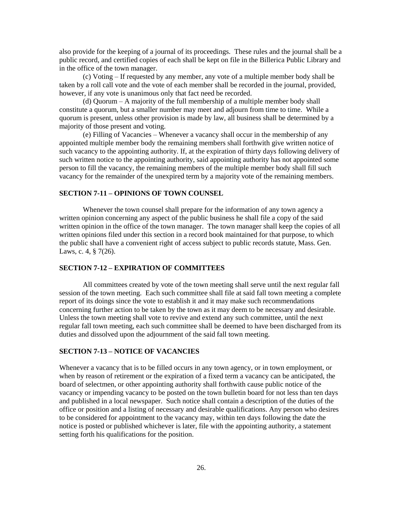also provide for the keeping of a journal of its proceedings. These rules and the journal shall be a public record, and certified copies of each shall be kept on file in the Billerica Public Library and in the office of the town manager.

(c) Voting – If requested by any member, any vote of a multiple member body shall be taken by a roll call vote and the vote of each member shall be recorded in the journal, provided, however, if any vote is unanimous only that fact need be recorded.

(d) Quorum – A majority of the full membership of a multiple member body shall constitute a quorum, but a smaller number may meet and adjourn from time to time. While a quorum is present, unless other provision is made by law, all business shall be determined by a majority of those present and voting.

(e) Filling of Vacancies – Whenever a vacancy shall occur in the membership of any appointed multiple member body the remaining members shall forthwith give written notice of such vacancy to the appointing authority. If, at the expiration of thirty days following delivery of such written notice to the appointing authority, said appointing authority has not appointed some person to fill the vacancy, the remaining members of the multiple member body shall fill such vacancy for the remainder of the unexpired term by a majority vote of the remaining members.

# **SECTION 7-11 – OPINIONS OF TOWN COUNSEL**

Whenever the town counsel shall prepare for the information of any town agency a written opinion concerning any aspect of the public business he shall file a copy of the said written opinion in the office of the town manager. The town manager shall keep the copies of all written opinions filed under this section in a record book maintained for that purpose, to which the public shall have a convenient right of access subject to public records statute, Mass. Gen. Laws, c. 4, § 7(26).

# **SECTION 7-12 – EXPIRATION OF COMMITTEES**

All committees created by vote of the town meeting shall serve until the next regular fall session of the town meeting. Each such committee shall file at said fall town meeting a complete report of its doings since the vote to establish it and it may make such recommendations concerning further action to be taken by the town as it may deem to be necessary and desirable. Unless the town meeting shall vote to revive and extend any such committee, until the next regular fall town meeting, each such committee shall be deemed to have been discharged from its duties and dissolved upon the adjournment of the said fall town meeting.

# **SECTION 7-13 – NOTICE OF VACANCIES**

Whenever a vacancy that is to be filled occurs in any town agency, or in town employment, or when by reason of retirement or the expiration of a fixed term a vacancy can be anticipated, the board of selectmen, or other appointing authority shall forthwith cause public notice of the vacancy or impending vacancy to be posted on the town bulletin board for not less than ten days and published in a local newspaper. Such notice shall contain a description of the duties of the office or position and a listing of necessary and desirable qualifications. Any person who desires to be considered for appointment to the vacancy may, within ten days following the date the notice is posted or published whichever is later, file with the appointing authority, a statement setting forth his qualifications for the position.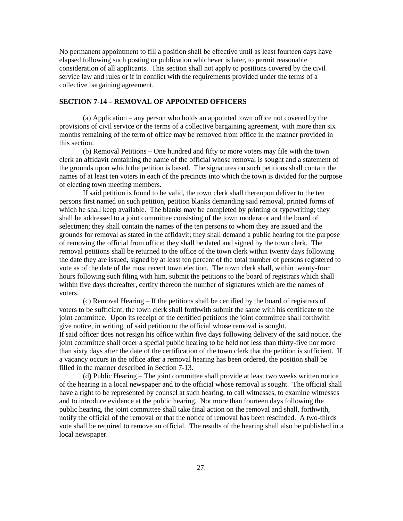No permanent appointment to fill a position shall be effective until as least fourteen days have elapsed following such posting or publication whichever is later, to permit reasonable consideration of all applicants. This section shall not apply to positions covered by the civil service law and rules or if in conflict with the requirements provided under the terms of a collective bargaining agreement.

# **SECTION 7-14 – REMOVAL OF APPOINTED OFFICERS**

(a) Application – any person who holds an appointed town office not covered by the provisions of civil service or the terms of a collective bargaining agreement, with more than six months remaining of the term of office may be removed from office in the manner provided in this section.

(b) Removal Petitions – One hundred and fifty or more voters may file with the town clerk an affidavit containing the name of the official whose removal is sought and a statement of the grounds upon which the petition is based. The signatures on such petitions shall contain the names of at least ten voters in each of the precincts into which the town is divided for the purpose of electing town meeting members.

If said petition is found to be valid, the town clerk shall thereupon deliver to the ten persons first named on such petition, petition blanks demanding said removal, printed forms of which he shall keep available. The blanks may be completed by printing or typewriting; they shall be addressed to a joint committee consisting of the town moderator and the board of selectmen; they shall contain the names of the ten persons to whom they are issued and the grounds for removal as stated in the affidavit; they shall demand a public hearing for the purpose of removing the official from office; they shall be dated and signed by the town clerk. The removal petitions shall be returned to the office of the town clerk within twenty days following the date they are issued, signed by at least ten percent of the total number of persons registered to vote as of the date of the most recent town election. The town clerk shall, within twenty-four hours following such filing with him, submit the petitions to the board of registrars which shall within five days thereafter, certify thereon the number of signatures which are the names of voters.

(c) Removal Hearing – If the petitions shall be certified by the board of registrars of voters to be sufficient, the town clerk shall forthwith submit the same with his certificate to the joint committee. Upon its receipt of the certified petitions the joint committee shall forthwith give notice, in writing, of said petition to the official whose removal is sought. If said officer does not resign his office within five days following delivery of the said notice, the joint committee shall order a special public hearing to be held not less than thirty-five nor more than sixty days after the date of the certification of the town clerk that the petition is sufficient. If a vacancy occurs in the office after a removal hearing has been ordered, the position shall be filled in the manner described in Section 7-13.

(d) Public Hearing – The joint committee shall provide at least two weeks written notice of the hearing in a local newspaper and to the official whose removal is sought. The official shall have a right to be represented by counsel at such hearing, to call witnesses, to examine witnesses and to introduce evidence at the public hearing. Not more than fourteen days following the public hearing, the joint committee shall take final action on the removal and shall, forthwith, notify the official of the removal or that the notice of removal has been rescinded. A two-thirds vote shall be required to remove an official. The results of the hearing shall also be published in a local newspaper.